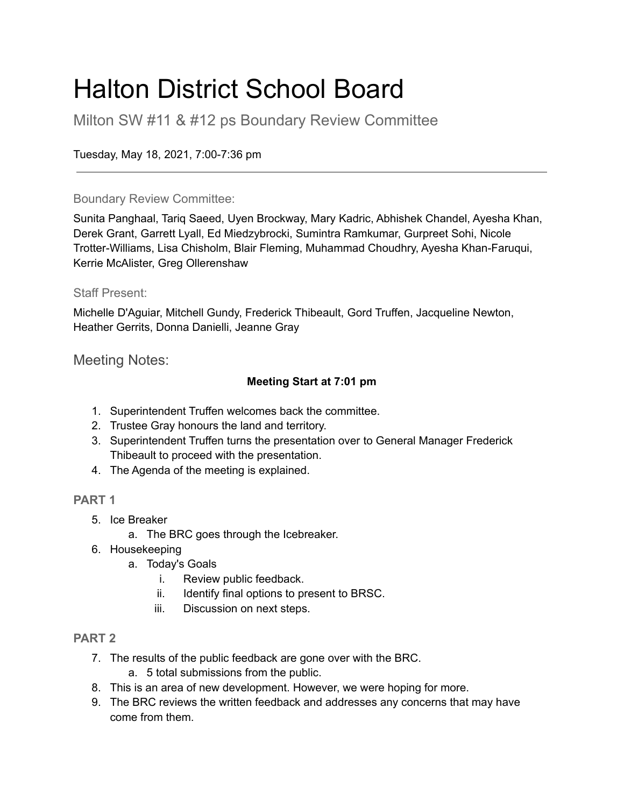### Halton District School Board

Milton SW #11 & #12 ps Boundary Review Committee

Tuesday, May 18, 2021, 7:00-7:36 pm

#### Boundary Review Committee:

Sunita Panghaal, Tariq Saeed, Uyen Brockway, Mary Kadric, Abhishek Chandel, Ayesha Khan, Derek Grant, Garrett Lyall, Ed Miedzybrocki, Sumintra Ramkumar, Gurpreet Sohi, Nicole Trotter-Williams, Lisa Chisholm, Blair Fleming, Muhammad Choudhry, Ayesha Khan-Faruqui, Kerrie McAlister, Greg Ollerenshaw

#### Staff Present:

Michelle D'Aguiar, Mitchell Gundy, Frederick Thibeault, Gord Truffen, Jacqueline Newton, Heather Gerrits, Donna Danielli, Jeanne Gray

Meeting Notes:

#### **Meeting Start at 7:01 pm**

- 1. Superintendent Truffen welcomes back the committee.
- 2. Trustee Gray honours the land and territory.
- 3. Superintendent Truffen turns the presentation over to General Manager Frederick Thibeault to proceed with the presentation.
- 4. The Agenda of the meeting is explained.

#### **PART 1**

- 5. Ice Breaker
	- a. The BRC goes through the Icebreaker.
- 6. Housekeeping
	- a. Today's Goals
		- i. Review public feedback.
		- ii. Identify final options to present to BRSC.
		- iii. Discussion on next steps.

#### **PART 2**

- 7. The results of the public feedback are gone over with the BRC.
	- a. 5 total submissions from the public.
- 8. This is an area of new development. However, we were hoping for more.
- 9. The BRC reviews the written feedback and addresses any concerns that may have come from them.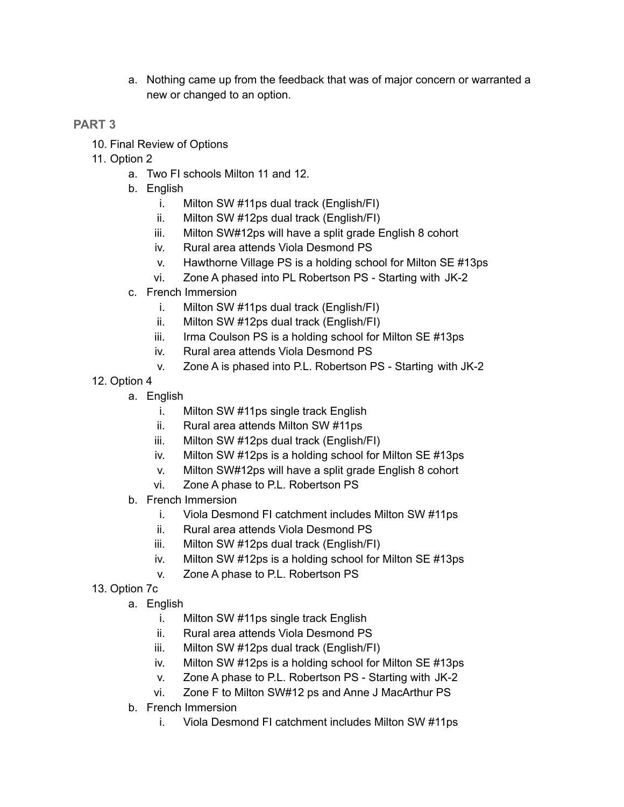a. Nothing came up from the feedback that was of major concern or warranted a new or changed to an option.

#### **PART 3**

- 10. Final Review of Options
- 11. Option 2
	- a. Two FI schools Milton 11 and 12.
	- b. English
		- i. Milton SW #11ps dual track (English/FI)
		- ii. Milton SW #12ps dual track (English/FI)
		- iii. Milton SW#12ps will have a split grade English 8 cohort
		- iv. Rural area attends Viola Desmond PS
		- v. Hawthorne Village PS is a holding school for Milton SE #13ps
		- vi. Zone A phased into PL Robertson PS Starting with JK-2
	- c. French Immersion
		- i. Milton SW #11ps dual track (English/FI)
		- ii. Milton SW #12ps dual track (English/FI)
		- iii. Irma Coulson PS is a holding school for Milton SE #13ps
		- iv. Rural area attends Viola Desmond PS
		- v. Zone A is phased into P.L. Robertson PS Starting with JK-2
- 12. Option 4
	- a. English
		- i. Milton SW #11ps single track English
		- ii. Rural area attends Milton SW #11ps
		- iii. Milton SW #12ps dual track (English/FI)
		- iv. Milton SW #12ps is a holding school for Milton SE #13ps
		- v. Milton SW#12ps will have a split grade English 8 cohort
		- vi. Zone A phase to P.L. Robertson PS
	- b. French Immersion
		- i. Viola Desmond FI catchment includes Milton SW #11ps
		- ii. Rural area attends Viola Desmond PS
		- iii. Milton SW #12ps dual track (English/FI)
		- iv. Milton SW #12ps is a holding school for Milton SE #13ps
		- v. Zone A phase to P.L. Robertson PS
- 13. Option 7c
	- a. English
		- i. Milton SW #11ps single track English
		- ii. Rural area attends Viola Desmond PS
		- iii. Milton SW #12ps dual track (English/FI)
		- iv. Milton SW #12ps is a holding school for Milton SE #13ps
		- v. Zone A phase to P.L. Robertson PS Starting with JK-2
		- vi. Zone F to Milton SW#12 ps and Anne J MacArthur PS
	- b. French Immersion
		- i. Viola Desmond FI catchment includes Milton SW #11ps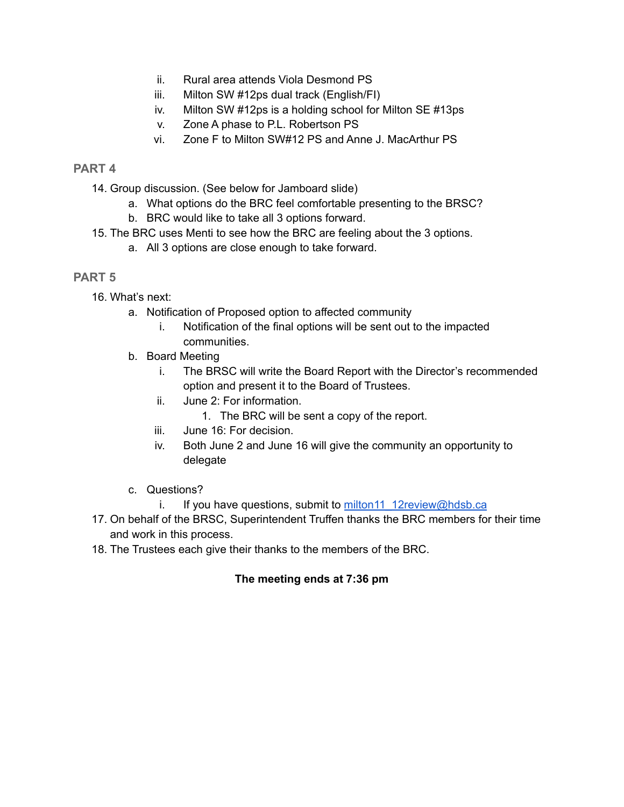- ii. Rural area attends Viola Desmond PS
- iii. Milton SW #12ps dual track (English/FI)
- iv. Milton SW #12ps is a holding school for Milton SE #13ps
- v. Zone A phase to P.L. Robertson PS
- vi. Zone F to Milton SW#12 PS and Anne J. MacArthur PS

#### **PART 4**

- 14. Group discussion. (See below for Jamboard slide)
	- a. What options do the BRC feel comfortable presenting to the BRSC?
	- b. BRC would like to take all 3 options forward.
- 15. The BRC uses Menti to see how the BRC are feeling about the 3 options.
	- a. All 3 options are close enough to take forward.

#### **PART 5**

- 16. What's next:
	- a. Notification of Proposed option to affected community
		- i. Notification of the final options will be sent out to the impacted communities.
	- b. Board Meeting
		- i. The BRSC will write the Board Report with the Director's recommended option and present it to the Board of Trustees.
		- ii. June 2: For information.
			- 1. The BRC will be sent a copy of the report.
		- iii. June 16: For decision.
		- iv. Both June 2 and June 16 will give the community an opportunity to delegate
	- c. Questions?
		- i. If you have questions, submit to [milton11\\_12review@hdsb.ca](mailto:milton11_12review@hdsb.ca)
- 17. On behalf of the BRSC, Superintendent Truffen thanks the BRC members for their time and work in this process.
- 18. The Trustees each give their thanks to the members of the BRC.

#### **The meeting ends at 7:36 pm**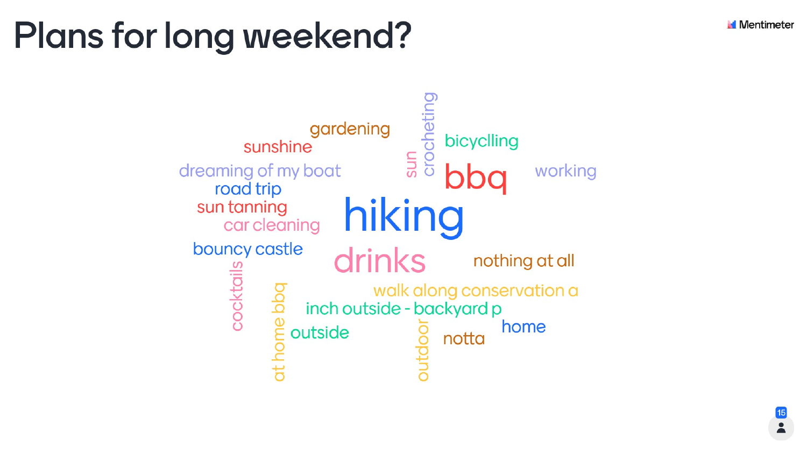# Plans for long weekend?

gardening sunshine dreaming of my boat road trip sun tanning car cleaning bouncy castle cocktails outside

**Mentimeter** 

## ocheting bicyclling Sun working hiking drinks nothing at all walk along conservation a inch outside - backyard p home notta

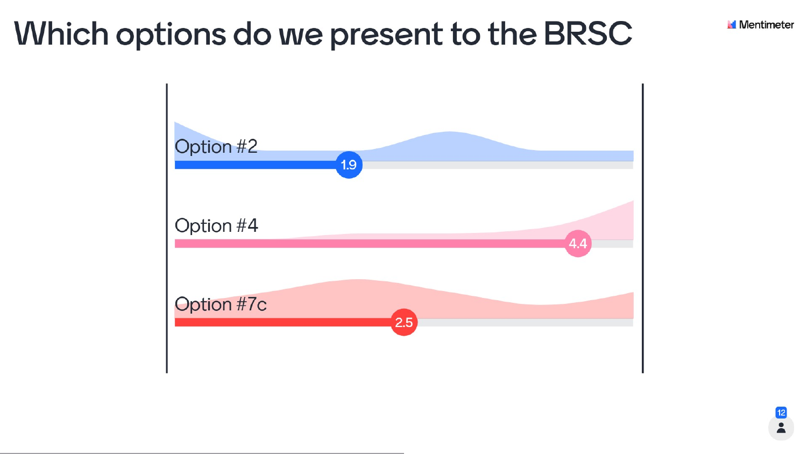## Which options do we present to the BRSC

 $1.9$ 



Option #4

Option #7c



**Mentimeter**